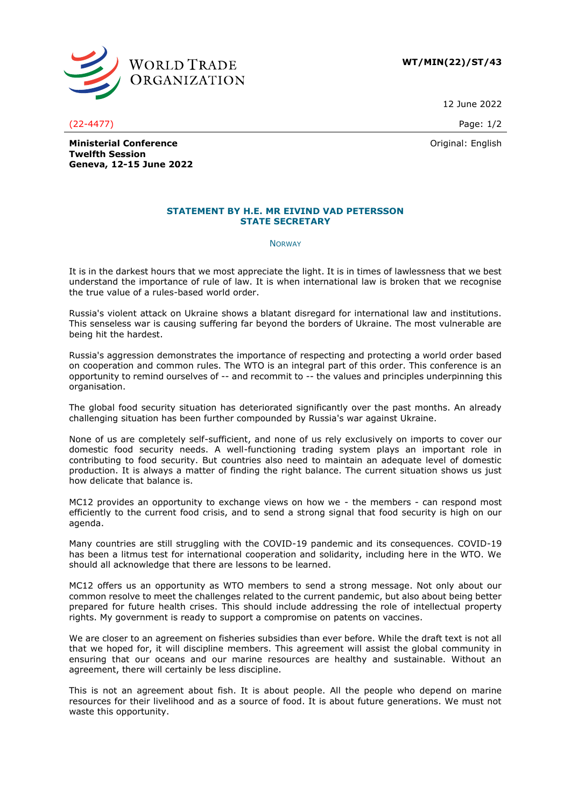

**WT/MIN(22)/ST/43**

12 June 2022

(22-4477) Page: 1/2

Original: English

**Ministerial Conference Twelfth Session Geneva, 12-15 June 2022**

## **STATEMENT BY H.E. MR EIVIND VAD PETERSSON STATE SECRETARY**

**NORWAY** 

It is in the darkest hours that we most appreciate the light. It is in times of lawlessness that we best understand the importance of rule of law. It is when international law is broken that we recognise the true value of a rules-based world order.

Russia's violent attack on Ukraine shows a blatant disregard for international law and institutions. This senseless war is causing suffering far beyond the borders of Ukraine. The most vulnerable are being hit the hardest.

Russia's aggression demonstrates the importance of respecting and protecting a world order based on cooperation and common rules. The WTO is an integral part of this order. This conference is an opportunity to remind ourselves of -- and recommit to -- the values and principles underpinning this organisation.

The global food security situation has deteriorated significantly over the past months. An already challenging situation has been further compounded by Russia's war against Ukraine.

None of us are completely self-sufficient, and none of us rely exclusively on imports to cover our domestic food security needs. A well-functioning trading system plays an important role in contributing to food security. But countries also need to maintain an adequate level of domestic production. It is always a matter of finding the right balance. The current situation shows us just how delicate that balance is.

MC12 provides an opportunity to exchange views on how we - the members - can respond most efficiently to the current food crisis, and to send a strong signal that food security is high on our agenda.

Many countries are still struggling with the COVID-19 pandemic and its consequences. COVID-19 has been a litmus test for international cooperation and solidarity, including here in the WTO. We should all acknowledge that there are lessons to be learned.

MC12 offers us an opportunity as WTO members to send a strong message. Not only about our common resolve to meet the challenges related to the current pandemic, but also about being better prepared for future health crises. This should include addressing the role of intellectual property rights. My government is ready to support a compromise on patents on vaccines.

We are closer to an agreement on fisheries subsidies than ever before. While the draft text is not all that we hoped for, it will discipline members. This agreement will assist the global community in ensuring that our oceans and our marine resources are healthy and sustainable. Without an agreement, there will certainly be less discipline.

This is not an agreement about fish. It is about people. All the people who depend on marine resources for their livelihood and as a source of food. It is about future generations. We must not waste this opportunity.